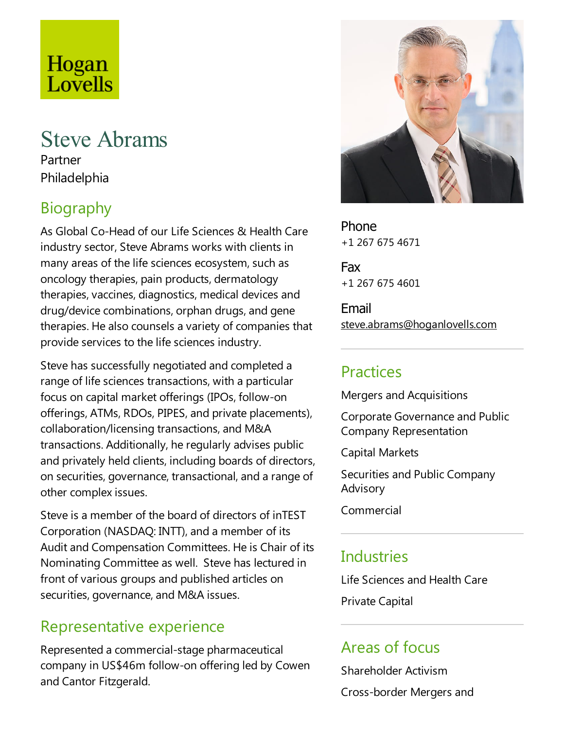# Hogan Lovells

### Steve Abrams Partner Philadelphia

# Biography

As Global Co-Head of our Life Sciences & Health Care industry sector, Steve Abrams works with clients in many areas of the life sciences ecosystem, such as oncology therapies, pain products, dermatology therapies, vaccines, diagnostics, medical devices and drug/device combinations, orphan drugs, and gene therapies. He also counsels a variety of companies that provide services to the life sciences industry.

Steve has successfully negotiated and completed a range of life sciences transactions, with a particular focus on capital market offerings (IPOs, follow-on offerings, ATMs, RDOs, PIPES, and private placements), collaboration/licensing transactions, and M&A transactions. Additionally, heregularly advises public and privately held clients, including boards of directors, on securities, governance, transactional, and a range of other complex issues.

Steve is a member of the board of directors of inTEST Corporation (NASDAQ: INTT), and a member of its Audit and Compensation Committees. He is Chair of its Nominating Committeeas well. Steve has lectured in front of various groups and published articles on securities, governance, and M&A issues.

#### Representative experience

Represented acommercial-stage pharmaceutical company in US\$46m follow-on offering led by Cowen and Cantor Fitzgerald.



Phone +1 267 675 4671

Fax +1 267 675 4601

Email steve.abrams@hoganlovells.com

#### Practices

Mergers and Acquisitions

Corporate Governance and Public Company Representation

Capital Markets

Securities and Public Company Advisory

Commercial

# **Industries**

Life Sciences and Health Care

Private Capital

# Areas of focus

Shareholder Activism Cross-border Mergers and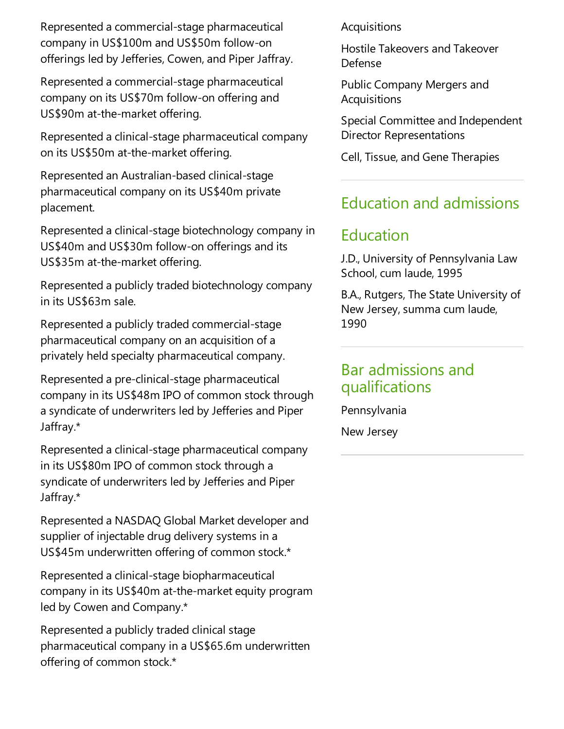Represented acommercial-stage pharmaceutical company in US\$100m and US\$50m follow-on offerings led by Jefferies, Cowen, and Piper Jaffray.

Represented acommercial-stage pharmaceutical company on its US\$70m follow-on offering and US\$90m at-the-market offering.

Represented a clinical-stage pharmaceutical company on its US\$50m at-the-market offering.

Represented an Australian-based clinical-stage pharmaceutical company on its US\$40m private placement.

Represented aclinical-stage biotechnology company in US\$40m and US\$30m follow-on offerings and its US\$35m at-the-market offering.

Represented a publicly traded biotechnology company in its US\$63m sale.

Represented a publicly traded commercial-stage pharmaceutical company on an acquisition of a privately held specialty pharmaceutical company.

Represented a pre-clinical-stage pharmaceutical company in its US\$48m IPO of common stock through asyndicate of underwriters led by Jefferies and Piper Jaffray.\*

Represented aclinical-stage pharmaceutical company in its US\$80m IPO of common stock through a syndicate of underwriters led by Jefferies and Piper Jaffray.\*

Represented a NASDAQ Global Market developer and supplier of injectable drug delivery systems in a US\$45m underwritten offering of common stock.\*

Represented aclinical-stage biopharmaceutical company in its US\$40m at-the-market equity program led by Cowen and Company.\*

Represented a publicly traded clinical stage pharmaceutical company in a US\$65.6m underwritten offering of common stock.\*

Acquisitions

HostileTakeovers and Takeover Defense

Public Company Mergers and Acquisitions

Special Committee and Independent Director Representations

Cell, Tissue, and Gene Therapies

#### Education and admissions

### Education

J.D., University of Pennsylvania Law School, cum laude, 1995

B.A., Rutgers, The State University of New Jersey, summa cum laude, 1990

#### Bar admissions and qualifications

Pennsylvania

New Jersey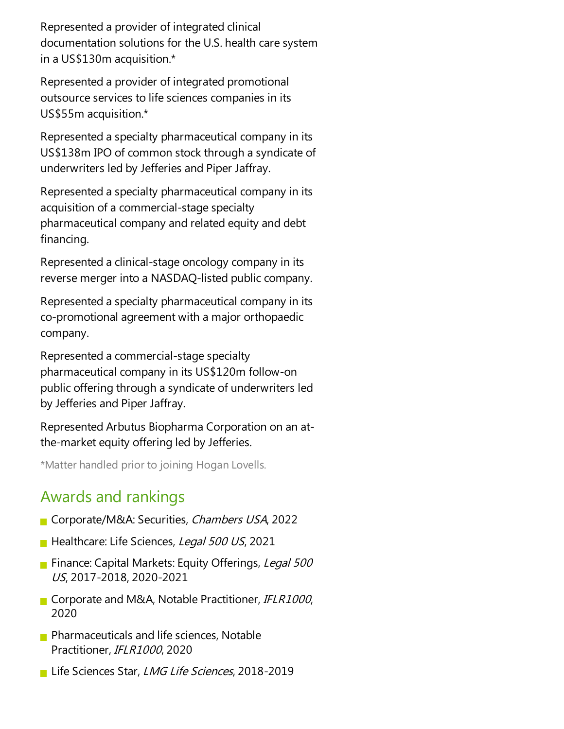Represented a provider of integrated clinical documentation solutions for the U.S. health care system in a US\$130m acquisition.\*

Represented a provider of integrated promotional outsource services to life sciences companies in its US\$55m acquisition.\*

Represented aspecialty pharmaceutical company in its US\$138m IPO of common stock through a syndicate of underwriters led by Jefferies and Piper Jaffray.

Represented aspecialty pharmaceutical company in its acquisition of a commercial-stage specialty pharmaceutical company and related equity and debt financing.

Represented aclinical-stage oncology company in its reverse merger into a NASDAQ-listed public company.

Represented aspecialty pharmaceutical company in its co-promotional agreement with a major orthopaedic company.

Represented a commercial-stage specialty pharmaceutical company in its US\$120m follow-on public offering through a syndicate of underwriters led by Jefferies and Piper Jaffray.

Represented Arbutus Biopharma Corporation on an atthe-market equity offering led by Jefferies.

\*Matter handled prior to joining Hogan Lovells.

# Awards and rankings

- Corporate/M&A: Securities, Chambers USA, 2022
- Healthcare: Life Sciences, Legal 500 US, 2021
- Finance: Capital Markets: Equity Offerings, Legal 500 US, 2017-2018, 2020-2021
- Corporate and M&A, Notable Practitioner, IFLR1000, 2020
- $\blacksquare$  Pharmaceuticals and life sciences, Notable Practitioner, IFLR1000, 2020
- Life Sciences Star, LMG Life Sciences, 2018-2019